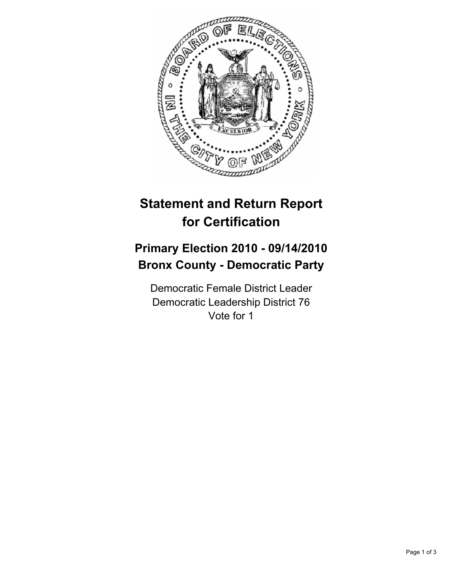

## **Statement and Return Report for Certification**

## **Primary Election 2010 - 09/14/2010 Bronx County - Democratic Party**

Democratic Female District Leader Democratic Leadership District 76 Vote for 1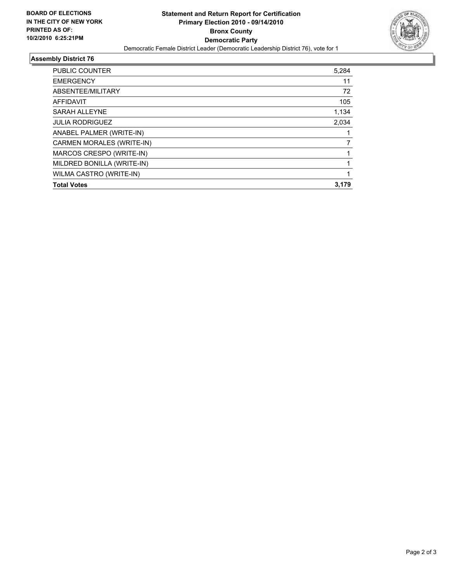

## **Assembly District 76**

| PUBLIC COUNTER                   | 5,284 |
|----------------------------------|-------|
| <b>EMERGENCY</b>                 | 11    |
| ABSENTEE/MILITARY                | 72    |
| <b>AFFIDAVIT</b>                 | 105   |
| <b>SARAH ALLEYNE</b>             | 1,134 |
| <b>JULIA RODRIGUEZ</b>           | 2.034 |
| ANABEL PALMER (WRITE-IN)         |       |
| <b>CARMEN MORALES (WRITE-IN)</b> | 7     |
| MARCOS CRESPO (WRITE-IN)         |       |
| MILDRED BONILLA (WRITE-IN)       |       |
| WILMA CASTRO (WRITE-IN)          | 1     |
| <b>Total Votes</b>               | 3,179 |
|                                  |       |